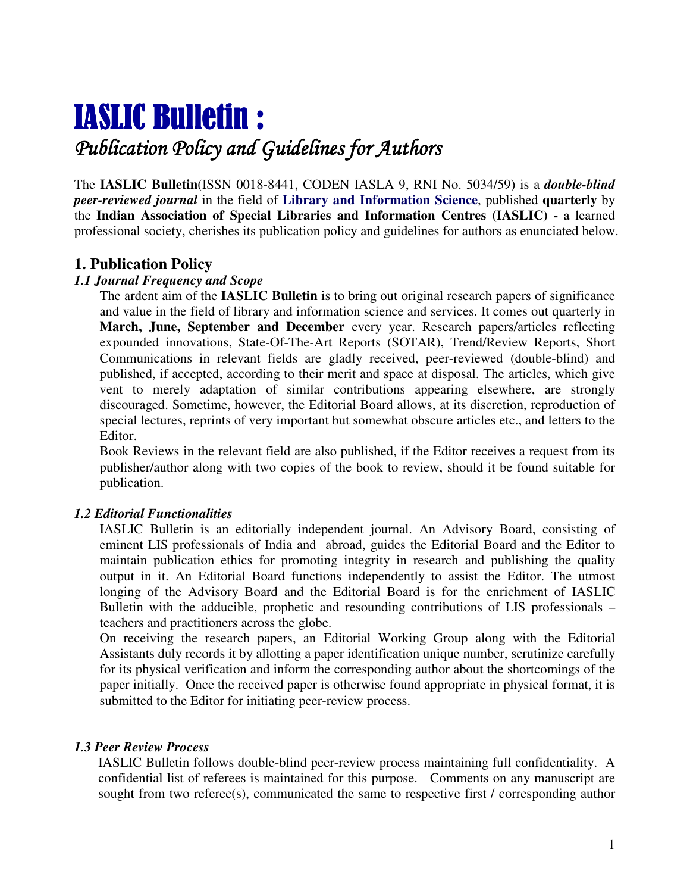# IASLIC Bulletin :

## Publication Policy and Guidelines for Authors

The **IASLIC Bulletin**(ISSN 0018-8441, CODEN IASLA 9, RNI No. 5034/59) is a *double-blind peer-reviewed journal* in the field of **Library and Information Science**, published **quarterly** by the **Indian Association of Special Libraries and Information Centres (IASLIC) -** a learned professional society, cherishes its publication policy and guidelines for authors as enunciated below.

#### **1. Publication Policy**

#### *1.1 Journal Frequency and Scope*

The ardent aim of the **IASLIC Bulletin** is to bring out original research papers of significance and value in the field of library and information science and services. It comes out quarterly in **March, June, September and December** every year. Research papers/articles reflecting expounded innovations, State-Of-The-Art Reports (SOTAR), Trend/Review Reports, Short Communications in relevant fields are gladly received, peer-reviewed (double-blind) and published, if accepted, according to their merit and space at disposal. The articles, which give vent to merely adaptation of similar contributions appearing elsewhere, are strongly discouraged. Sometime, however, the Editorial Board allows, at its discretion, reproduction of special lectures, reprints of very important but somewhat obscure articles etc., and letters to the Editor.

Book Reviews in the relevant field are also published, if the Editor receives a request from its publisher/author along with two copies of the book to review, should it be found suitable for publication.

#### *1.2 Editorial Functionalities*

IASLIC Bulletin is an editorially independent journal. An Advisory Board, consisting of eminent LIS professionals of India and abroad, guides the Editorial Board and the Editor to maintain publication ethics for promoting integrity in research and publishing the quality output in it. An Editorial Board functions independently to assist the Editor. The utmost longing of the Advisory Board and the Editorial Board is for the enrichment of IASLIC Bulletin with the adducible, prophetic and resounding contributions of LIS professionals – teachers and practitioners across the globe.

On receiving the research papers, an Editorial Working Group along with the Editorial Assistants duly records it by allotting a paper identification unique number, scrutinize carefully for its physical verification and inform the corresponding author about the shortcomings of the paper initially. Once the received paper is otherwise found appropriate in physical format, it is submitted to the Editor for initiating peer-review process.

#### *1.3 Peer Review Process*

IASLIC Bulletin follows double-blind peer-review process maintaining full confidentiality. A confidential list of referees is maintained for this purpose. Comments on any manuscript are sought from two referee(s), communicated the same to respective first / corresponding author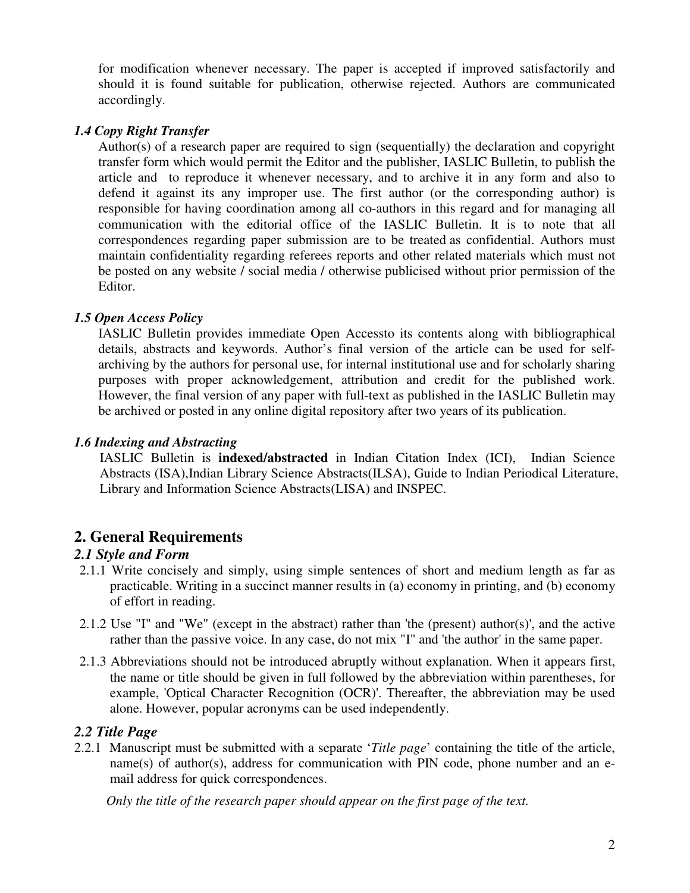for modification whenever necessary. The paper is accepted if improved satisfactorily and should it is found suitable for publication, otherwise rejected. Authors are communicated accordingly.

#### *1.4 Copy Right Transfer*

Author(s) of a research paper are required to sign (sequentially) the declaration and copyright transfer form which would permit the Editor and the publisher, IASLIC Bulletin, to publish the article and to reproduce it whenever necessary, and to archive it in any form and also to defend it against its any improper use. The first author (or the corresponding author) is responsible for having coordination among all co-authors in this regard and for managing all communication with the editorial office of the IASLIC Bulletin. It is to note that all correspondences regarding paper submission are to be treated as confidential. Authors must maintain confidentiality regarding referees reports and other related materials which must not be posted on any website / social media / otherwise publicised without prior permission of the Editor.

#### *1.5 Open Access Policy*

IASLIC Bulletin provides immediate Open Accessto its contents along with bibliographical details, abstracts and keywords. Author's final version of the article can be used for selfarchiving by the authors for personal use, for internal institutional use and for scholarly sharing purposes with proper acknowledgement, attribution and credit for the published work. However, the final version of any paper with full-text as published in the IASLIC Bulletin may be archived or posted in any online digital repository after two years of its publication.

#### *1.6 Indexing and Abstracting*

IASLIC Bulletin is **indexed/abstracted** in Indian Citation Index (ICI), Indian Science Abstracts (ISA),Indian Library Science Abstracts(ILSA), Guide to Indian Periodical Literature, Library and Information Science Abstracts(LISA) and INSPEC.

## **2. General Requirements**

#### *2.1 Style and Form*

- 2.1.1 Write concisely and simply, using simple sentences of short and medium length as far as practicable. Writing in a succinct manner results in (a) economy in printing, and (b) economy of effort in reading.
- 2.1.2 Use "I" and "We" (except in the abstract) rather than 'the (present) author(s)', and the active rather than the passive voice. In any case, do not mix "I" and 'the author' in the same paper.
- 2.1.3 Abbreviations should not be introduced abruptly without explanation. When it appears first, the name or title should be given in full followed by the abbreviation within parentheses, for example, 'Optical Character Recognition (OCR)'. Thereafter, the abbreviation may be used alone. However, popular acronyms can be used independently.

#### *2.2 Title Page*

2.2.1 Manuscript must be submitted with a separate '*Title page*' containing the title of the article, name(s) of author(s), address for communication with PIN code, phone number and an email address for quick correspondences.

*Only the title of the research paper should appear on the first page of the text.*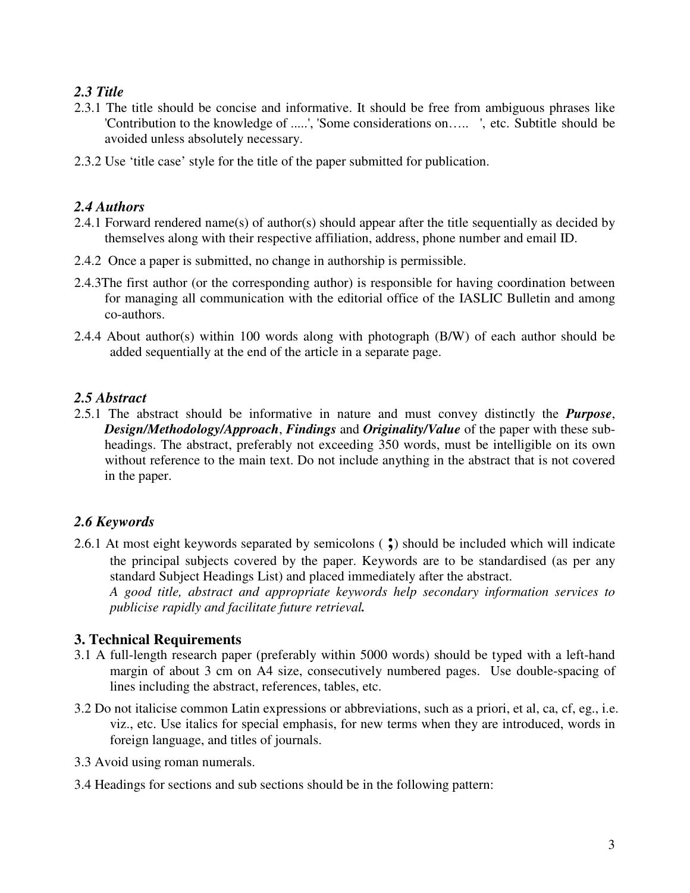### *2.3 Title*

- 2.3.1 The title should be concise and informative. It should be free from ambiguous phrases like 'Contribution to the knowledge of .....', 'Some considerations on….. ', etc. Subtitle should be avoided unless absolutely necessary.
- 2.3.2 Use 'title case' style for the title of the paper submitted for publication.

#### *2.4 Authors*

- 2.4.1 Forward rendered name(s) of author(s) should appear after the title sequentially as decided by themselves along with their respective affiliation, address, phone number and email ID.
- 2.4.2 Once a paper is submitted, no change in authorship is permissible.
- 2.4.3The first author (or the corresponding author) is responsible for having coordination between for managing all communication with the editorial office of the IASLIC Bulletin and among co-authors.
- 2.4.4 About author(s) within 100 words along with photograph (B/W) of each author should be added sequentially at the end of the article in a separate page.

#### *2.5 Abstract*

2.5.1 The abstract should be informative in nature and must convey distinctly the *Purpose*, *Design/Methodology/Approach*, *Findings* and *Originality/Value* of the paper with these subheadings. The abstract, preferably not exceeding 350 words, must be intelligible on its own without reference to the main text. Do not include anything in the abstract that is not covered in the paper.

## *2.6 Keywords*

2.6.1 At most eight keywords separated by semicolons ( **;**) should be included which will indicate the principal subjects covered by the paper. Keywords are to be standardised (as per any standard Subject Headings List) and placed immediately after the abstract. *A good title, abstract and appropriate keywords help secondary information services to publicise rapidly and facilitate future retrieval.* 

#### **3. Technical Requirements**

- 3.1 A full-length research paper (preferably within 5000 words) should be typed with a left-hand margin of about 3 cm on A4 size, consecutively numbered pages. Use double-spacing of lines including the abstract, references, tables, etc.
- 3.2 Do not italicise common Latin expressions or abbreviations, such as a priori, et al, ca, cf, eg., i.e. viz., etc. Use italics for special emphasis, for new terms when they are introduced, words in foreign language, and titles of journals.
- 3.3 Avoid using roman numerals.
- 3.4 Headings for sections and sub sections should be in the following pattern: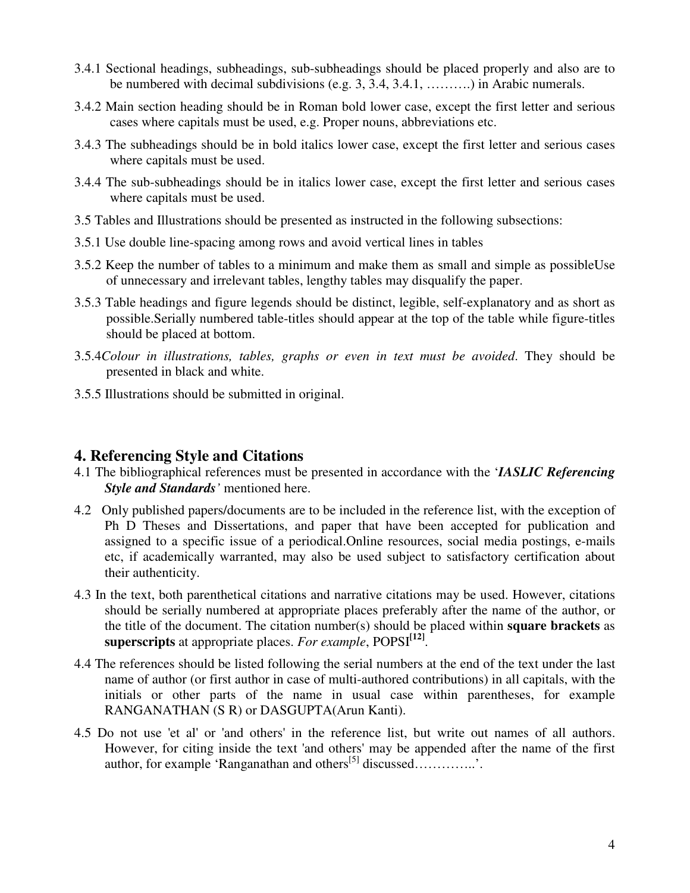- 3.4.1 Sectional headings, subheadings, sub-subheadings should be placed properly and also are to be numbered with decimal subdivisions (e.g. 3, 3.4, 3.4.1, ……….) in Arabic numerals.
- 3.4.2 Main section heading should be in Roman bold lower case, except the first letter and serious cases where capitals must be used, e.g. Proper nouns, abbreviations etc.
- 3.4.3 The subheadings should be in bold italics lower case, except the first letter and serious cases where capitals must be used.
- 3.4.4 The sub-subheadings should be in italics lower case, except the first letter and serious cases where capitals must be used.
- 3.5 Tables and Illustrations should be presented as instructed in the following subsections:
- 3.5.1 Use double line-spacing among rows and avoid vertical lines in tables
- 3.5.2 Keep the number of tables to a minimum and make them as small and simple as possibleUse of unnecessary and irrelevant tables, lengthy tables may disqualify the paper.
- 3.5.3 Table headings and figure legends should be distinct, legible, self-explanatory and as short as possible.Serially numbered table-titles should appear at the top of the table while figure-titles should be placed at bottom.
- 3.5.4*Colour in illustrations, tables, graphs or even in text must be avoided*. They should be presented in black and white.
- 3.5.5 Illustrations should be submitted in original.

#### **4. Referencing Style and Citations**

- 4.1 The bibliographical references must be presented in accordance with the '*IASLIC Referencing Style and Standards'* mentioned here.
- 4.2 Only published papers/documents are to be included in the reference list, with the exception of Ph D Theses and Dissertations, and paper that have been accepted for publication and assigned to a specific issue of a periodical.Online resources, social media postings, e-mails etc, if academically warranted, may also be used subject to satisfactory certification about their authenticity.
- 4.3 In the text, both parenthetical citations and narrative citations may be used. However, citations should be serially numbered at appropriate places preferably after the name of the author, or the title of the document. The citation number(s) should be placed within **square brackets** as **superscripts** at appropriate places. *For example*, POPSI**[12]** .
- 4.4 The references should be listed following the serial numbers at the end of the text under the last name of author (or first author in case of multi-authored contributions) in all capitals, with the initials or other parts of the name in usual case within parentheses, for example RANGANATHAN (S R) or DASGUPTA(Arun Kanti).
- 4.5 Do not use 'et al' or 'and others' in the reference list, but write out names of all authors. However, for citing inside the text 'and others' may be appended after the name of the first author, for example 'Ranganathan and others[5] discussed…………..'.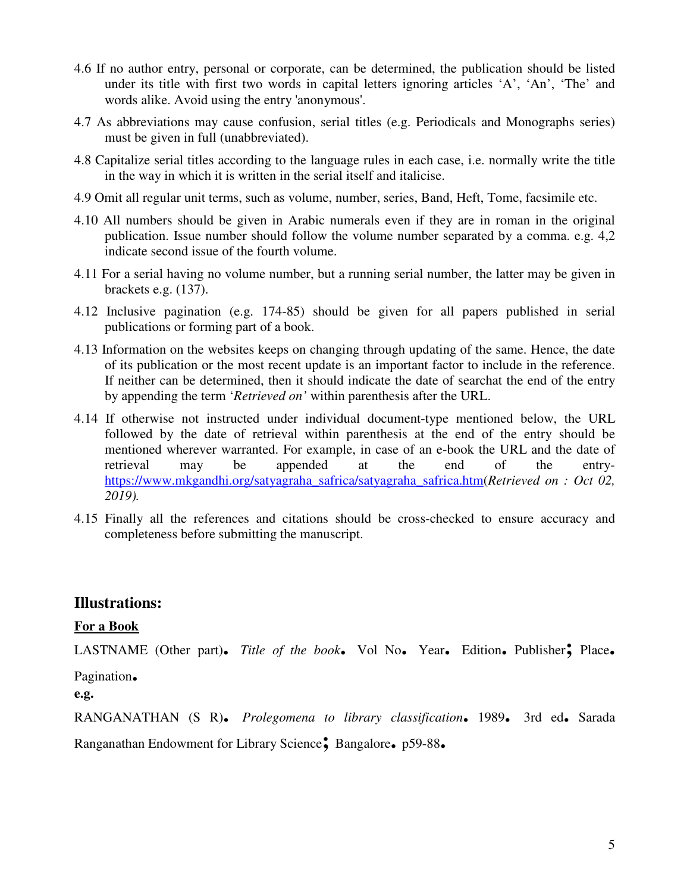- 4.6 If no author entry, personal or corporate, can be determined, the publication should be listed under its title with first two words in capital letters ignoring articles 'A', 'An', 'The' and words alike. Avoid using the entry 'anonymous'.
- 4.7 As abbreviations may cause confusion, serial titles (e.g. Periodicals and Monographs series) must be given in full (unabbreviated).
- 4.8 Capitalize serial titles according to the language rules in each case, i.e. normally write the title in the way in which it is written in the serial itself and italicise.
- 4.9 Omit all regular unit terms, such as volume, number, series, Band, Heft, Tome, facsimile etc.
- 4.10 All numbers should be given in Arabic numerals even if they are in roman in the original publication. Issue number should follow the volume number separated by a comma. e.g. 4,2 indicate second issue of the fourth volume.
- 4.11 For a serial having no volume number, but a running serial number, the latter may be given in brackets e.g. (137).
- 4.12 Inclusive pagination (e.g. 174-85) should be given for all papers published in serial publications or forming part of a book.
- 4.13 Information on the websites keeps on changing through updating of the same. Hence, the date of its publication or the most recent update is an important factor to include in the reference. If neither can be determined, then it should indicate the date of searchat the end of the entry by appending the term '*Retrieved on'* within parenthesis after the URL.
- 4.14 If otherwise not instructed under individual document-type mentioned below, the URL followed by the date of retrieval within parenthesis at the end of the entry should be mentioned wherever warranted. For example, in case of an e-book the URL and the date of retrieval may be appended at the end of the entryhttps://www.mkgandhi.org/satyagraha\_safrica/satyagraha\_safrica.htm(*Retrieved on : Oct 02, 2019).*
- 4.15 Finally all the references and citations should be cross-checked to ensure accuracy and completeness before submitting the manuscript.

#### **Illustrations:**

#### **For a Book**

LASTNAME (Other part)**.** *Title of the book***.** Vol No**.** Year**.** Edition**.** Publisher**;** Place**.**

Pagination**.**

**e.g.** 

RANGANATHAN (S R)**.** *Prolegomena to library classification***.** 1989**.** 3rd ed**.** Sarada

Ranganathan Endowment for Library Science**;** Bangalore**.** p59-88**.**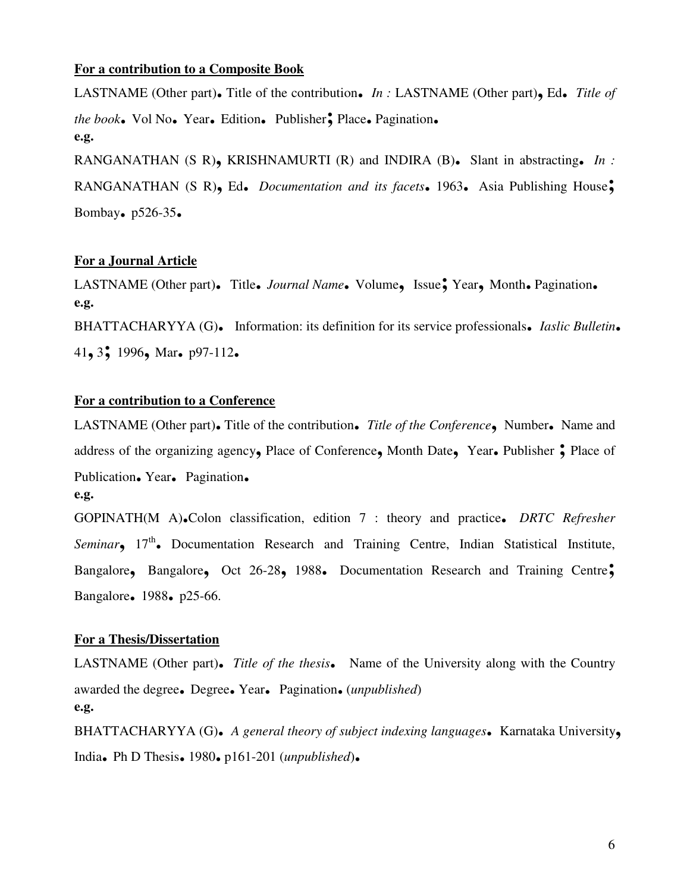#### **For a contribution to a Composite Book**

LASTNAME (Other part)**.** Title of the contribution**.** *In :* LASTNAME (Other part)**,** Ed**.** *Title of the book***.** Vol No**.** Year**.** Edition**.** Publisher**;** Place**.** Pagination**. e.g.**  RANGANATHAN (S R)**,** KRISHNAMURTI (R) and INDIRA (B)**.** Slant in abstracting**.** *In :*  RANGANATHAN (S R)**,** Ed**.** *Documentation and its facets***.** 1963**.** Asia Publishing House**;** Bombay**.** p526-35**.** 

#### **For a Journal Article**

LASTNAME (Other part)**.** Title**.** *Journal Name***.** Volume**,** Issue**;** Year**,** Month**.** Pagination**. e.g.**  BHATTACHARYYA (G)**.** Information: its definition for its service professionals**.** *Iaslic Bulletin***.** <sup>41</sup>**,** 3**;** 1996**,** Mar**.** p97-112**.** 

#### **For a contribution to a Conference**

LASTNAME (Other part)**.** Title of the contribution**.** *Title of the Conference***,** Number**.** Name and address of the organizing agency**,** Place of Conference**,** Month Date**,** Year**.** Publisher **;** Place of Publication**.** Year**.** Pagination**. e.g.** 

GOPINATH(M A)**.**Colon classification, edition 7 : theory and practice**.** *DRTC Refresher*  Seminar<sub>2</sub> 17<sup>th</sup>. Documentation Research and Training Centre, Indian Statistical Institute, Bangalore**,** Bangalore**,** Oct 26-28**,** 1988**.** Documentation Research and Training Centre**;** Bangalore**.** 1988**.** p25-66.

#### **For a Thesis/Dissertation**

LASTNAME (Other part)**.** *Title of the thesis***.** Name of the University along with the Country awarded the degree**.** Degree**.** Year**.** Pagination**.** (*unpublished*) **e.g.** 

BHATTACHARYYA (G)**.** *A general theory of subject indexing languages***.** Karnataka University**,**  India**.** Ph D Thesis**.** 1980**.** p161-201 (*unpublished*)**.**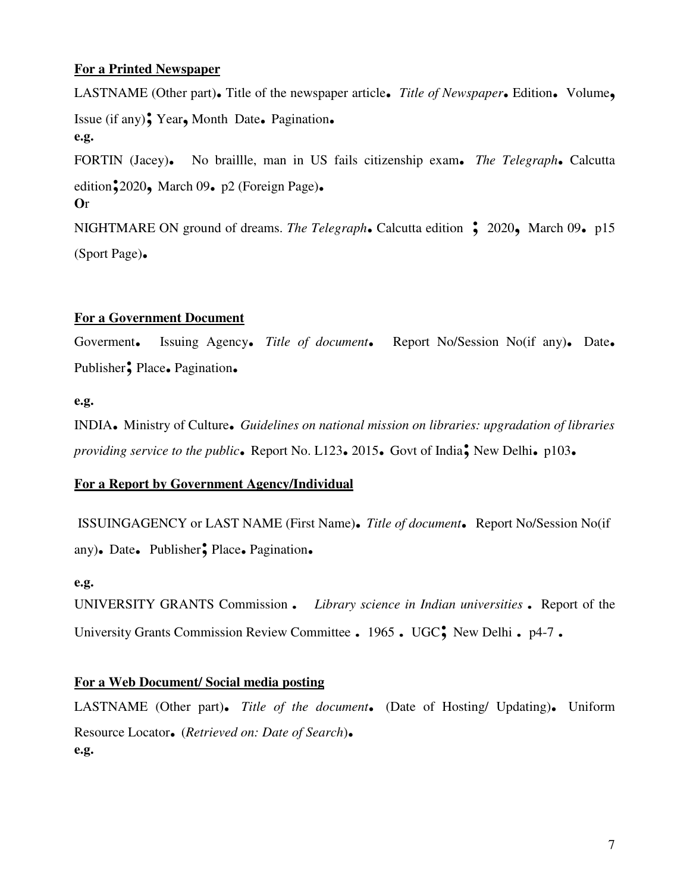#### **For a Printed Newspaper**

LASTNAME (Other part)**.** Title of the newspaper article**.** *Title of Newspaper***.** Edition**.** Volume**,**  Issue (if any)**;** Year**,** Month Date**.** Pagination**. e.g.**  FORTIN (Jacey)**.** No braillle, man in US fails citizenship exam**.** *The Telegraph***.** Calcutta edition**;**2020**,** March 09**.** p2 (Foreign Page)**. O**r NIGHTMARE ON ground of dreams. *The Telegraph***.** Calcutta edition **;** 2020**,** March 09**.** p15 (Sport Page)**.** 

#### **For a Government Document**

Goverment**.** Issuing Agency**.** *Title of document***.** Report No/Session No(if any)**.** Date**.**  Publisher**;** Place**.** Pagination**.**

#### **e.g.**

INDIA**.** Ministry of Culture**.** *Guidelines on national mission on libraries: upgradation of libraries providing service to the public***.** Report No. L123**.** 2015**.** Govt of India**;** New Delhi**.** p103**.**

#### **For a Report by Government Agency/Individual**

 ISSUINGAGENCY or LAST NAME (First Name)**.** *Title of document***.** Report No/Session No(if any)**.** Date**.** Publisher**;** Place**.** Pagination**.**

#### **e.g.**

UNIVERSITY GRANTS Commission**.** *Library science in Indian universities***.** Report of the University Grants Commission Review Committee**.** 1965**.** UGC**;** New Delhi**.** p4-7**.**

#### **For a Web Document/ Social media posting**

LASTNAME (Other part)**.** *Title of the document***.** (Date of Hosting/ Updating)**.** Uniform Resource Locator**.** (*Retrieved on: Date of Search*)**. e.g.**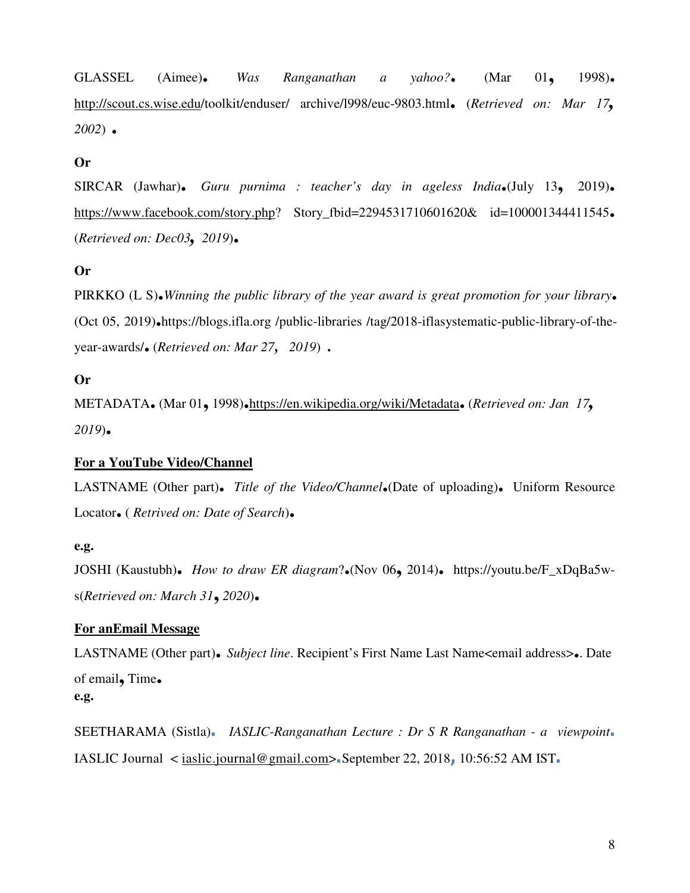GLASSEL (Aimee)**.** *Was Ranganathan a yahoo?***.** (Mar 01**,** 1998)**.**  http://scout.cs.wise.edu/toolkit/enduser/ archive/l998/euc-9803.html**.** (*Retrieved on: Mar 17, <sup>2002</sup>*) **.** 

#### **Or**

SIRCAR (Jawhar)**.** *Guru purnima : teacher's day in ageless India***.**(July 13**,** 2019)**.**  https://www.facebook.com/story.php? Story\_fbid=2294531710601620& id=100001344411545**.**  (*Retrieved on: Dec03, <sup>2019</sup>*)**.** 

#### **Or**

PIRKKO (L S)**.***Winning the public library of the year award is great promotion for your library***.**  (Oct 05, 2019)**.**https://blogs.ifla.org /public-libraries /tag/2018-iflasystematic-public-library-of-theyear-awards/**.** (*Retrieved on: Mar 27, <sup>2019</sup>*) .

#### **Or**

METADATA**.** (Mar 01**,** 1998)**.**https://en.wikipedia.org/wiki/Metadata**.** (*Retrieved on: Jan 17, <sup>2019</sup>*)**.**

#### **For a YouTube Video/Channel**

LASTNAME (Other part)**.** *Title of the Video/Channel***.**(Date of uploading)**.** Uniform Resource Locator**.** ( *Retrived on: Date of Search*)**.**

#### **e.g.**

JOSHI (Kaustubh)**.** *How to draw ER diagram*?**.**(Nov 06**,** 2014)**.** https://youtu.be/F\_xDqBa5ws(*Retrieved on: March 31***,***<sup>2020</sup>*)**.** 

#### **For anEmail Message**

LASTNAME (Other part)**.** *Subject line*. Recipient's First Name Last Name<email address>**.**. Date of email**,** Time**. e.g.** 

SEETHARAMA (Sistla)**.** *IASLIC-Ranganathan Lecture : Dr S R Ranganathan - a viewpoint***.**  IASLIC Journal < iaslic.journal@gmail.com>**.**September 22, 2018**,** 10:56:52 AM IST**.**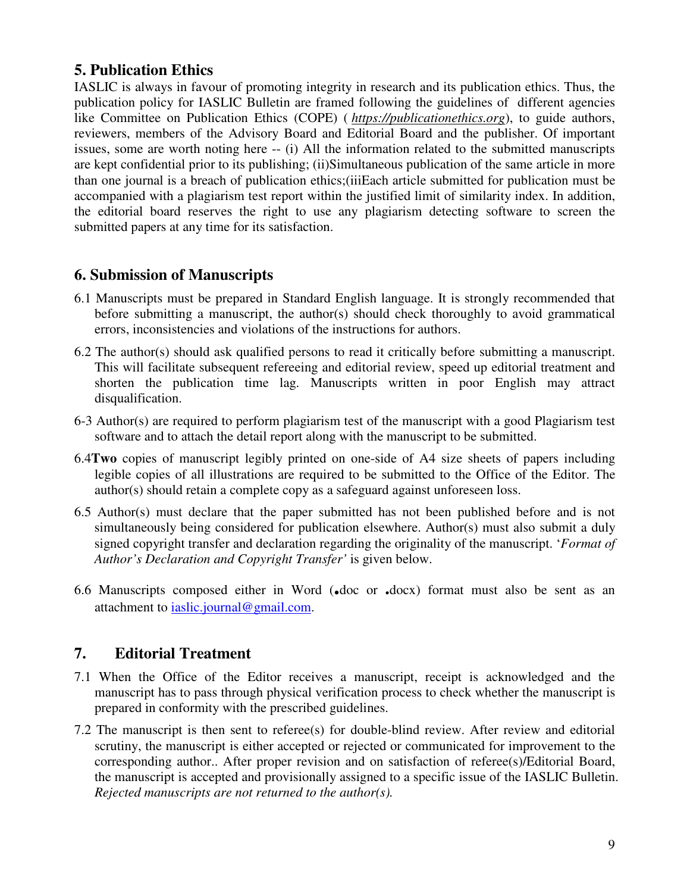## **5. Publication Ethics**

IASLIC is always in favour of promoting integrity in research and its publication ethics. Thus, the publication policy for IASLIC Bulletin are framed following the guidelines of different agencies like Committee on Publication Ethics (COPE) ( *https://publicationethics.org*), to guide authors, reviewers, members of the Advisory Board and Editorial Board and the publisher. Of important issues, some are worth noting here -- (i) All the information related to the submitted manuscripts are kept confidential prior to its publishing; (ii)Simultaneous publication of the same article in more than one journal is a breach of publication ethics;(iiiEach article submitted for publication must be accompanied with a plagiarism test report within the justified limit of similarity index. In addition, the editorial board reserves the right to use any plagiarism detecting software to screen the submitted papers at any time for its satisfaction.

## **6. Submission of Manuscripts**

- 6.1 Manuscripts must be prepared in Standard English language. It is strongly recommended that before submitting a manuscript, the author(s) should check thoroughly to avoid grammatical errors, inconsistencies and violations of the instructions for authors.
- 6.2 The author(s) should ask qualified persons to read it critically before submitting a manuscript. This will facilitate subsequent refereeing and editorial review, speed up editorial treatment and shorten the publication time lag. Manuscripts written in poor English may attract disqualification.
- 6-3 Author(s) are required to perform plagiarism test of the manuscript with a good Plagiarism test software and to attach the detail report along with the manuscript to be submitted.
- 6.4**Two** copies of manuscript legibly printed on one-side of A4 size sheets of papers including legible copies of all illustrations are required to be submitted to the Office of the Editor. The author(s) should retain a complete copy as a safeguard against unforeseen loss.
- 6.5 Author(s) must declare that the paper submitted has not been published before and is not simultaneously being considered for publication elsewhere. Author(s) must also submit a duly signed copyright transfer and declaration regarding the originality of the manuscript. '*Format of Author's Declaration and Copyright Transfer'* is given below.
- 6.6 Manuscripts composed either in Word (**.**doc or **.**docx) format must also be sent as an attachment to iaslic.journal@gmail.com.

## **7. Editorial Treatment**

- 7.1 When the Office of the Editor receives a manuscript, receipt is acknowledged and the manuscript has to pass through physical verification process to check whether the manuscript is prepared in conformity with the prescribed guidelines.
- 7.2 The manuscript is then sent to referee(s) for double-blind review. After review and editorial scrutiny, the manuscript is either accepted or rejected or communicated for improvement to the corresponding author.. After proper revision and on satisfaction of referee(s)/Editorial Board, the manuscript is accepted and provisionally assigned to a specific issue of the IASLIC Bulletin. *Rejected manuscripts are not returned to the author(s).*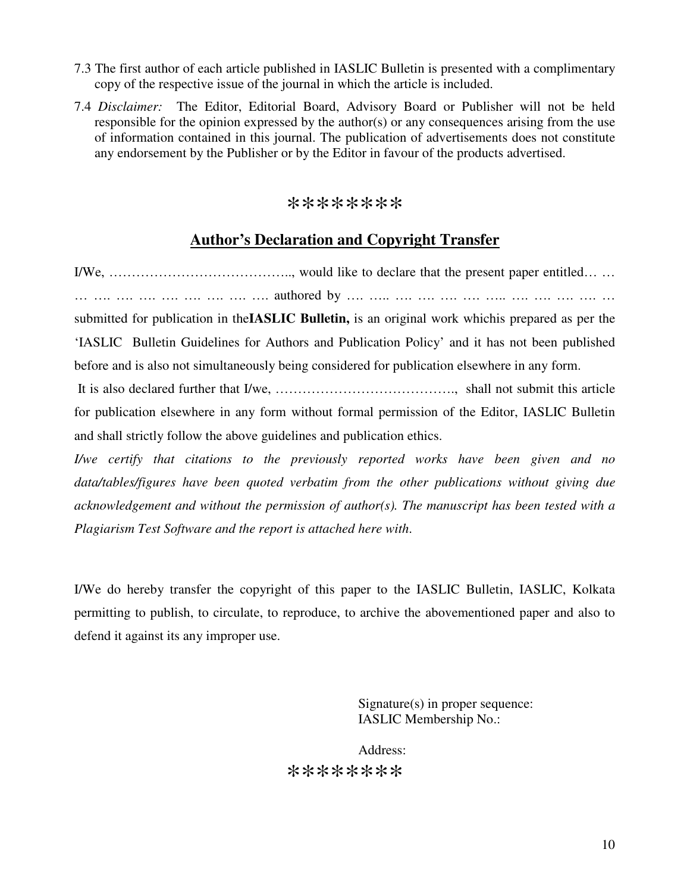- 7.3 The first author of each article published in IASLIC Bulletin is presented with a complimentary copy of the respective issue of the journal in which the article is included.
- 7.4 *Disclaimer:* The Editor, Editorial Board, Advisory Board or Publisher will not be held responsible for the opinion expressed by the author(s) or any consequences arising from the use of information contained in this journal. The publication of advertisements does not constitute any endorsement by the Publisher or by the Editor in favour of the products advertised.

#### \*\*\*\*\*\*\*\*

## **Author's Declaration and Copyright Transfer**

I/We, ………………………………….., would like to declare that the present paper entitled… … … …. …. …. …. …. …. …. …. authored by …. ….. …. …. …. …. ….. …. …. …. …. …

submitted for publication in the**IASLIC Bulletin,** is an original work whichis prepared as per the 'IASLIC Bulletin Guidelines for Authors and Publication Policy' and it has not been published before and is also not simultaneously being considered for publication elsewhere in any form.

 It is also declared further that I/we, …………………………………., shall not submit this article for publication elsewhere in any form without formal permission of the Editor, IASLIC Bulletin and shall strictly follow the above guidelines and publication ethics.

*I/we certify that citations to the previously reported works have been given and no data/tables/figures have been quoted verbatim from the other publications without giving due acknowledgement and without the permission of author(s). The manuscript has been tested with a Plagiarism Test Software and the report is attached here with*.

I/We do hereby transfer the copyright of this paper to the IASLIC Bulletin, IASLIC, Kolkata permitting to publish, to circulate, to reproduce, to archive the abovementioned paper and also to defend it against its any improper use.

> Signature(s) in proper sequence: IASLIC Membership No.:

Address: \*\*\*\*\*\*\*\*